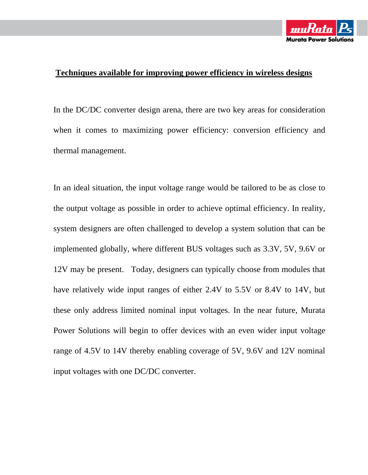

## **Techniques available for improving power efficiency in wireless designs**

In the DC/DC converter design arena, there are two key areas for consideration when it comes to maximizing power efficiency: conversion efficiency and thermal management.

In an ideal situation, the input voltage range would be tailored to be as close to the output voltage as possible in order to achieve optimal efficiency. In reality, system designers are often challenged to develop a system solution that can be implemented globally, where different BUS voltages such as 3.3V, 5V, 9.6V or 12V may be present. Today, designers can typically choose from modules that have relatively wide input ranges of either 2.4V to 5.5V or 8.4V to 14V, but these only address limited nominal input voltages. In the near future, Murata Power Solutions will begin to offer devices with an even wider input voltage range of 4.5V to 14V thereby enabling coverage of 5V, 9.6V and 12V nominal input voltages with one DC/DC converter.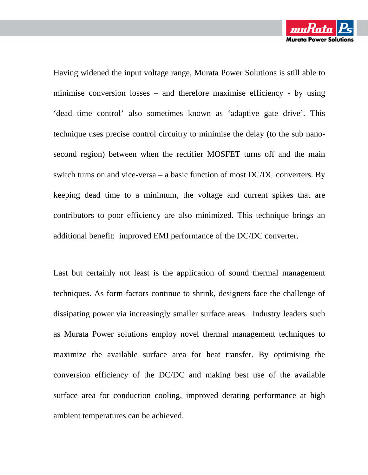Having widened the input voltage range, Murata Power Solutions is still able to minimise conversion losses – and therefore maximise efficiency - by using 'dead time control' also sometimes known as 'adaptive gate drive'. This technique uses precise control circuitry to minimise the delay (to the sub nanosecond region) between when the rectifier MOSFET turns off and the main switch turns on and vice-versa – a basic function of most DC/DC converters. By keeping dead time to a minimum, the voltage and current spikes that are contributors to poor efficiency are also minimized. This technique brings an additional benefit: improved EMI performance of the DC/DC converter.

Last but certainly not least is the application of sound thermal management techniques. As form factors continue to shrink, designers face the challenge of dissipating power via increasingly smaller surface areas. Industry leaders such as Murata Power solutions employ novel thermal management techniques to maximize the available surface area for heat transfer. By optimising the conversion efficiency of the DC/DC and making best use of the available surface area for conduction cooling, improved derating performance at high ambient temperatures can be achieved.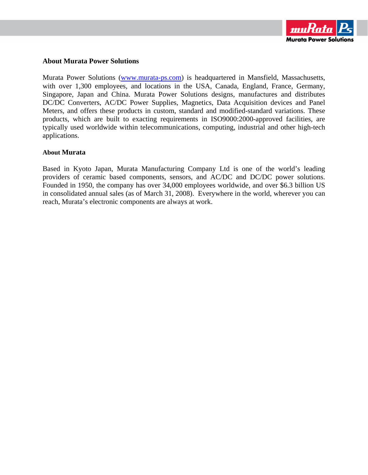

## **About Murata Power Solutions**

Murata Power Solutions (www.murata-ps.com) is headquartered in Mansfield, Massachusetts, with over 1,300 employees, and locations in the USA, Canada, England, France, Germany, Singapore, Japan and China. Murata Power Solutions designs, manufactures and distributes DC/DC Converters, AC/DC Power Supplies, Magnetics, Data Acquisition devices and Panel Meters, and offers these products in custom, standard and modified-standard variations. These products, which are built to exacting requirements in ISO9000:2000-approved facilities, are typically used worldwide within telecommunications, computing, industrial and other high-tech applications.

## **About Murata**

Based in Kyoto Japan, Murata Manufacturing Company Ltd is one of the world's leading providers of ceramic based components, sensors, and AC/DC and DC/DC power solutions. Founded in 1950, the company has over 34,000 employees worldwide, and over \$6.3 billion US in consolidated annual sales (as of March 31, 2008). Everywhere in the world, wherever you can reach, Murata's electronic components are always at work.